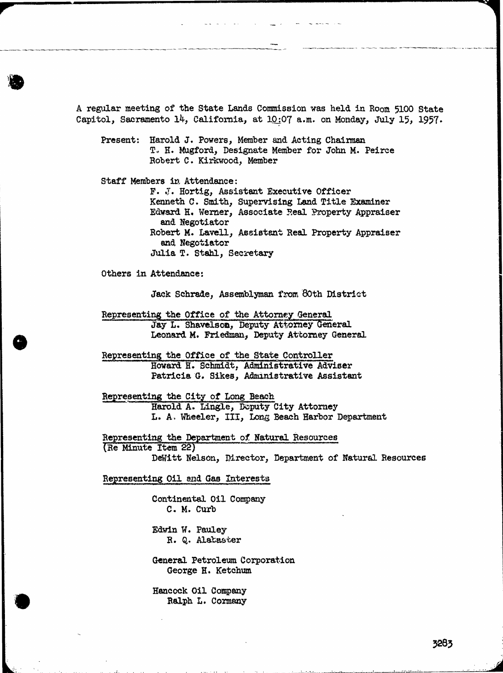A regular meeting of the State Lands Commission was held in Room 5100 State Capitol, Sacramento 14, California, at 10:07 a.m. on Monday, July 15, 1957. Present: Harold J. Powers, Member and Acting Chairman T. H. Mugford, Designate Member for John M. Peirce Robert C. Kirkwood, Member Staff Members in Attendance: F. J. Hortig, Assistant Executive Officer Kenneth C. Smith, Supervising Land Title Examiner Edward H. Werner, Associate Real Property Appraiser and Negotiator Robert M. Lavell, Assistant Real Property Appraiser and Negotiator Julia T. Stahl, Secretary Others in Attendance: Jack Schrade, Assemblyman from 80th District Representing the Office of the Attorney General Jay L. Shavelson, Deputy Attorney General Leonard M. Friedman, Deputy Attorney General Representing the Office of the State Controller Howard H. Schmidt, Administrative Adviser Patricia G. Sikes, Administrative Assistant Representing the City of Long Beach Harold A. Lingle, Deputy City Attorney L. A. Wheeler, III, Long Beach Harbor Department Representing the Department of Natural Resources (Re Minute Item 22) DeWitt Nelson, Director, Department of Natural Resources Representing Oil and Gas Interests Continental Oil Company C. M. Curb Edwin W. Pauley

R. Q. Alabaster

General Petroleum Corporation George H. Ketchum

Hancock Oil Company Ralph L. Cormany